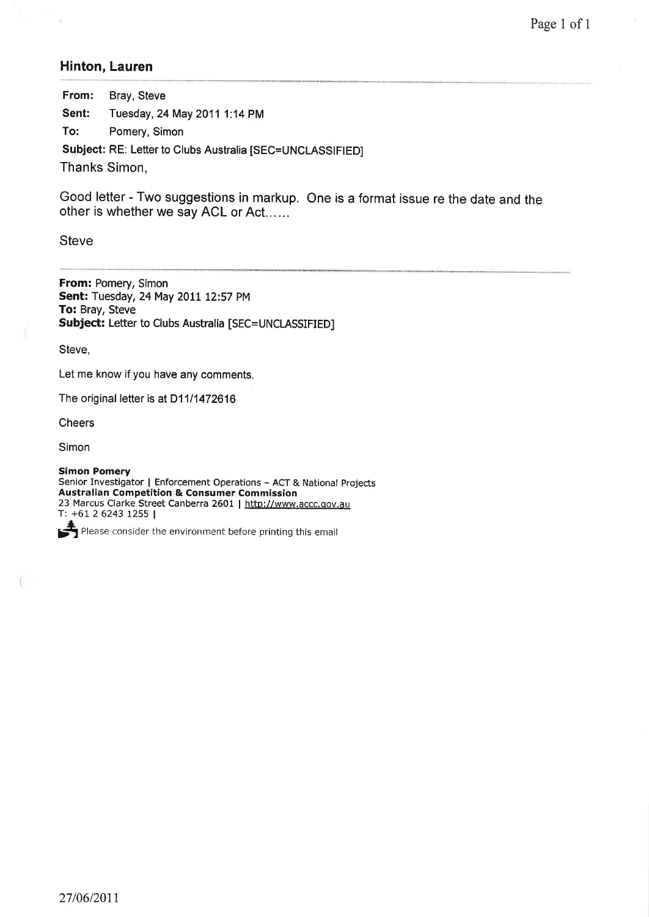## Hinton, Lauren

From: Bray, Steve Sent: Tuesday, 24May 2011 1:14 PM To: Pomery, Simon Subject: RE: Letter to Clubs Australia [SEC=UNCLASSIFIED]

Thanks Simon,

Good letter - Two suggestions in markup. One is a format issue re the date and the other is whether we say ACL or Act......

**Steve** 

From: Pomery, Simon Sent: Tuesday,24May 2011 12:57 PM To: Bray, Steve Subject: Letter to Clubs Australia [SEC=UNCLASSIFIED]

Steve.

Let me know if you have any comments.

The original letter is at D11/1472616

**Cheers** 

Simon

Simon Pomery Senior Investigator | Enforcement Operations - ACT & National Projects Australian Competition & Consumer Commission 23 Marcus Clarke Street Canberra 2601 | http://www.accc.gov.au T: +61 2 6243 t255 <sup>|</sup>

 $\leftarrow$  Please consider the environment before printing this email